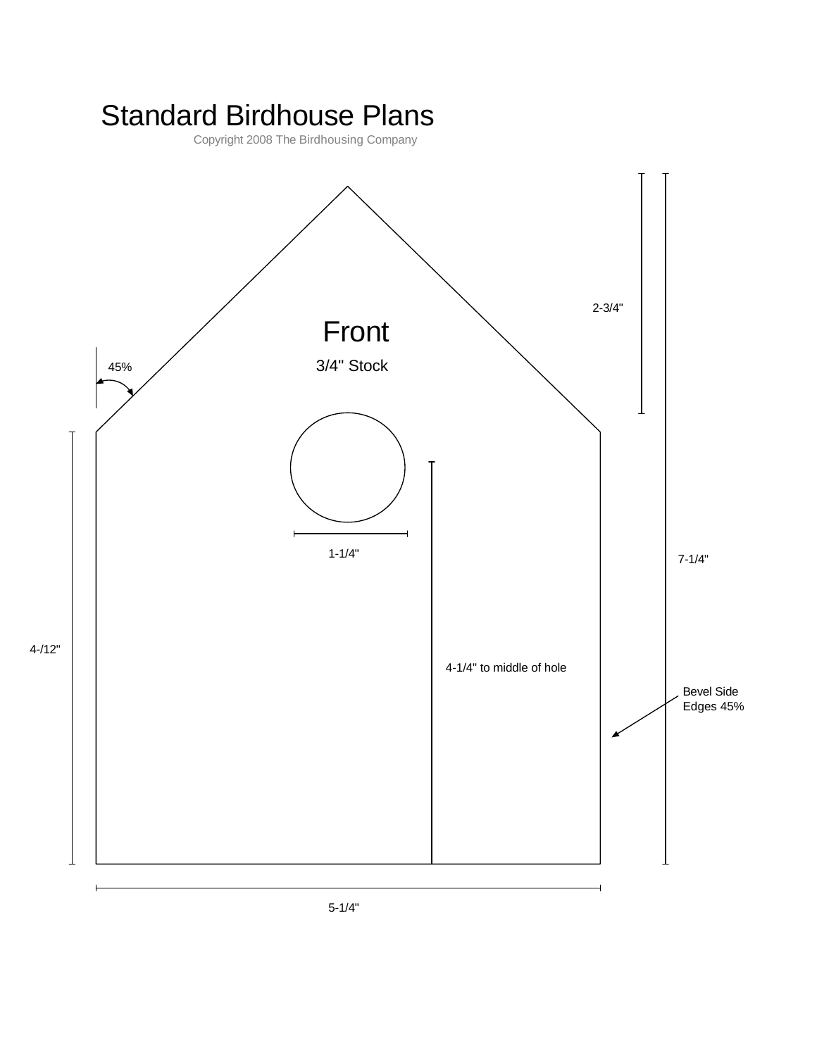## Standard Birdhouse Plans

Copyright 2008 The Birdhousing Company

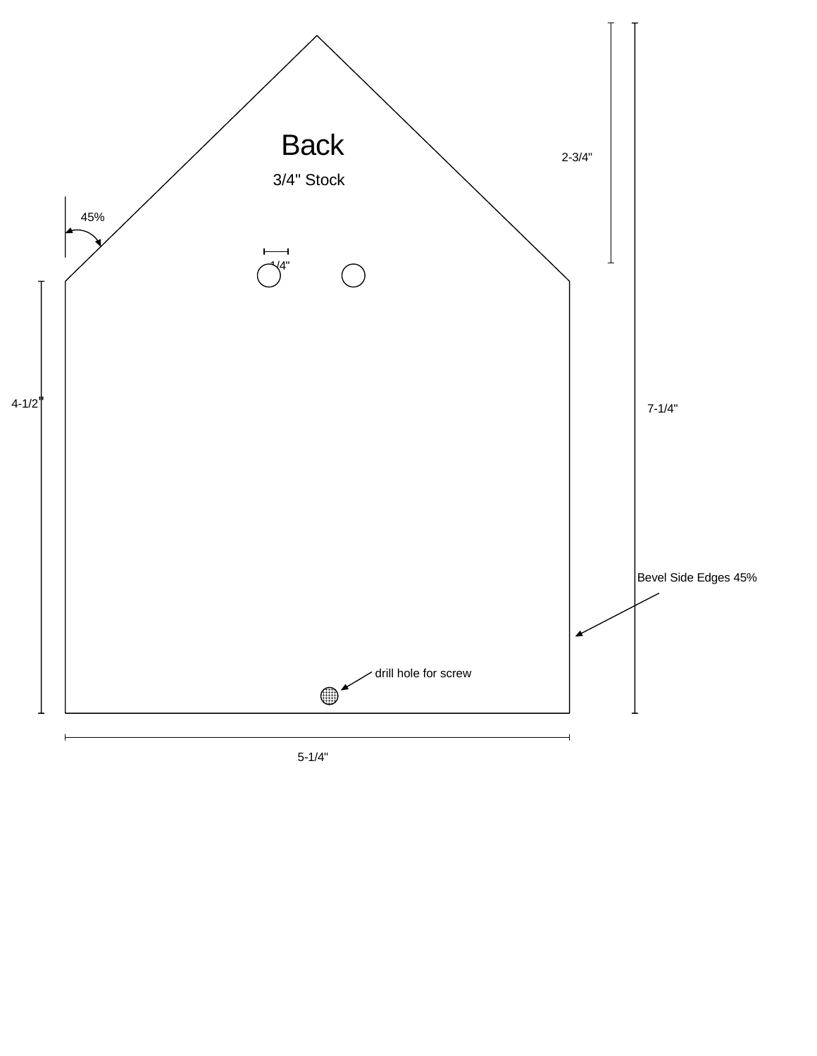

5-1/4"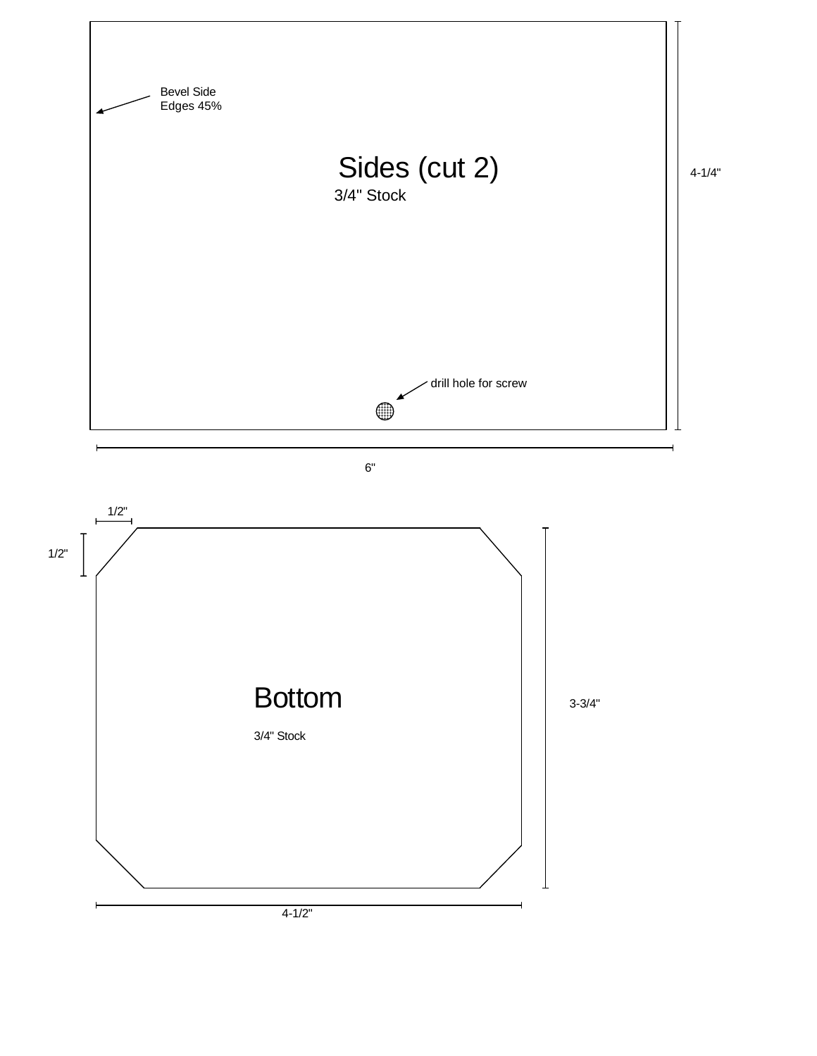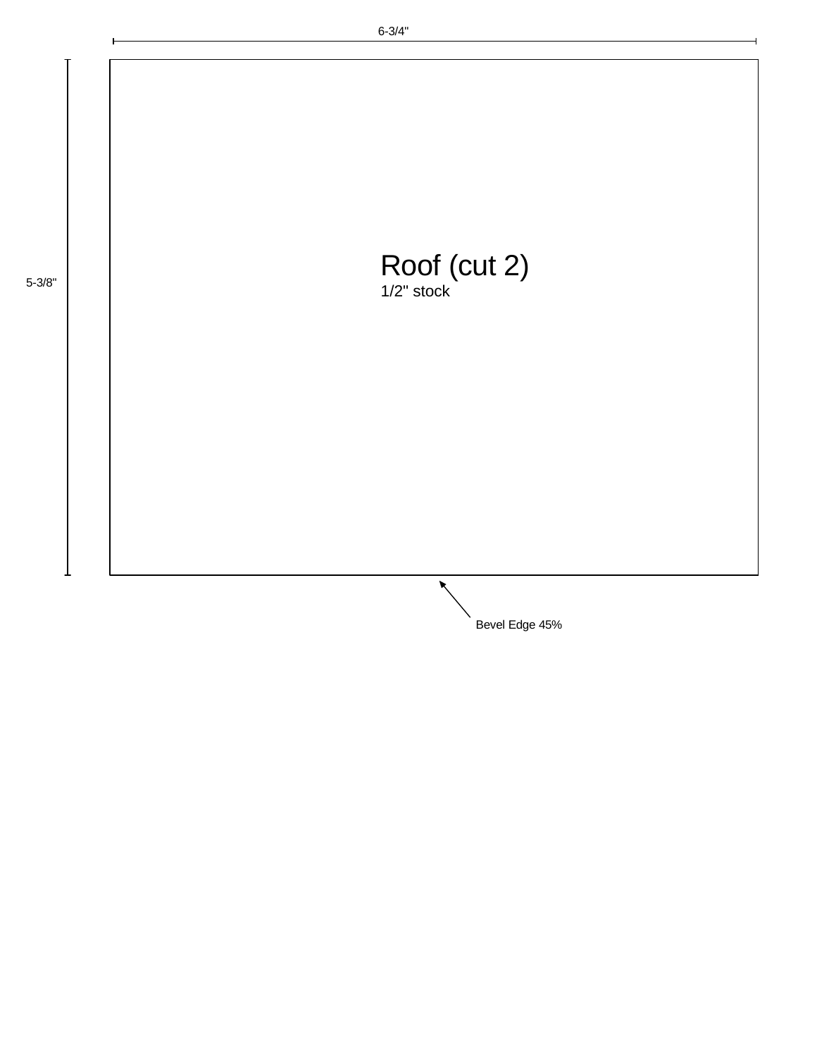